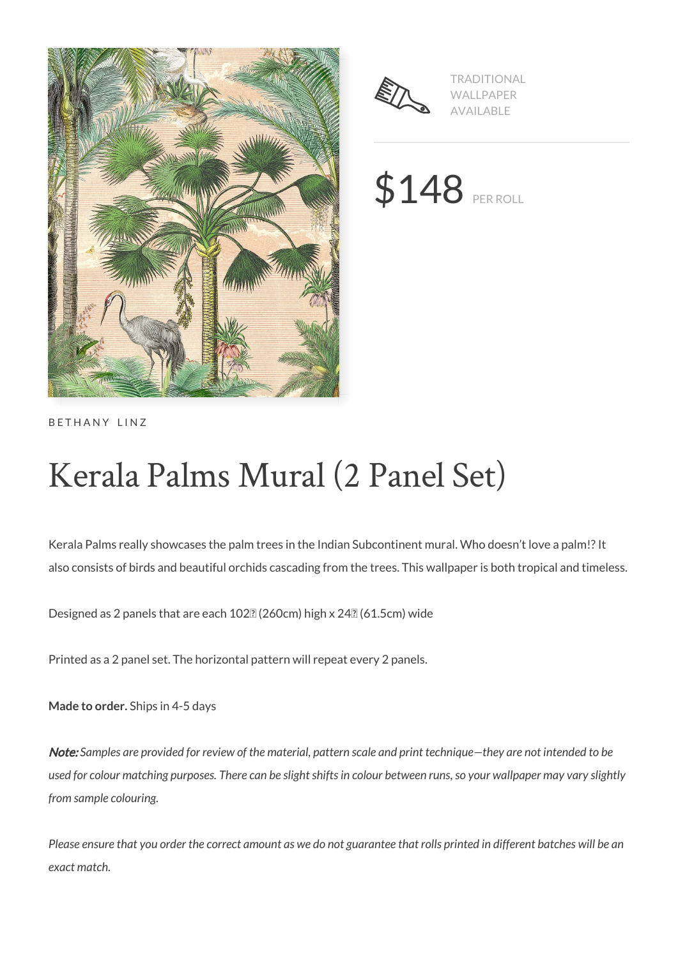



TRADITIONAL WALLPAPER AVAILABLE

\$148 PER ROLL

BETHANY LINZ

# Kerala Palms Mural (2 Panel Set)

Kerala Palms really showcases the palm trees in the Indian Subcontinent mural. Who doesn't love a palm!? It also consists of birds and beautiful orchids cascading from the trees. This wallpaper is both tropical and timeless.

Designed as 2 panels that are each 102<sup>[2]</sup> (260cm) high x 24<sup>[2]</sup> (61.5cm) wide

Printed as a 2 panel set. The horizontal pattern will repeat every 2 panels.

**Made to order.** Ships in 4-5 days

Note: *Samples are provided for review of the material, pattern scale and print technique—they are not intended to be used for colour matching purposes. There can be slight shifts in colour between runs, so your wallpaper may vary slightly from sample colouring.*

*Please ensure that you order the correct amount as we do not guarantee that rolls printed in different batches will be an exact match.*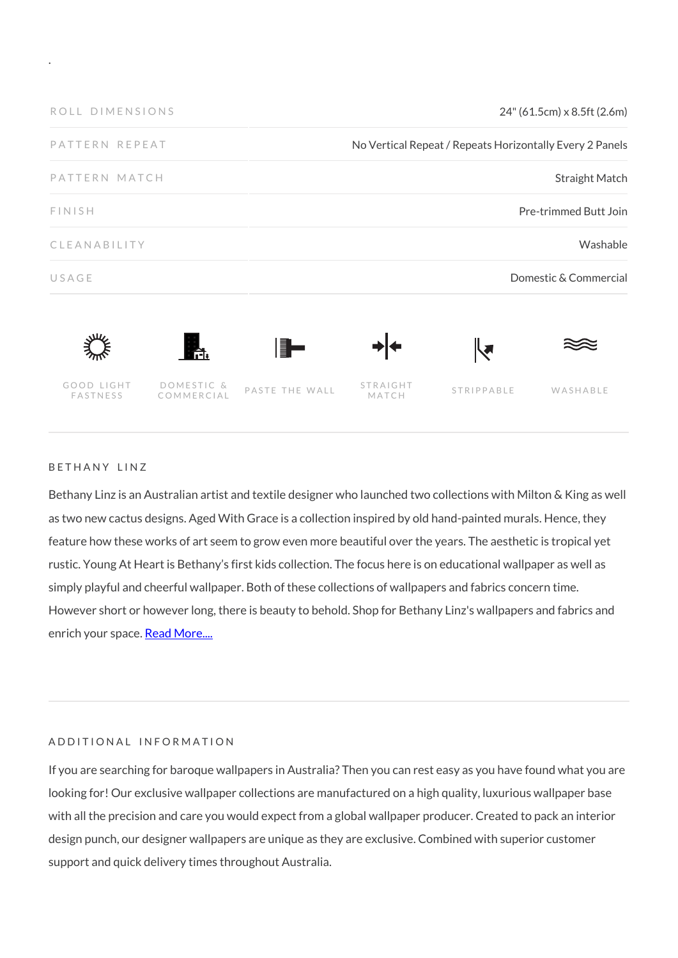

### BETHANY LINZ

.

Bethany Linz is an Australian artist and textile designer who launched two collections with Milton & King as well as two new cactus designs. Aged With Grace is a collection inspired by old hand-painted murals. Hence, they feature how these works of art seem to grow even more beautiful over the years. The aesthetic is tropical yet rustic. Young At Heart is Bethany's first kids collection. The focus here is on educational wallpaper as well as simply playful and cheerful wallpaper. Both of these collections of wallpapers and fabrics concern time. However short or however long, there is beauty to behold. Shop for Bethany Linz's wallpapers and fabrics and enrich your space. [Read More....](https://www.miltonandking.com/blog/who-is-bethany-linz/)

### ADDITIONAL INFORMATION

If you are searching for baroque wallpapers in Australia? Then you can rest easy as you have found what you are looking for! Our exclusive wallpaper collections are manufactured on a high quality, luxurious wallpaper base with all the precision and care you would expect from a global wallpaper producer. Created to pack an interior design punch, our designer wallpapers are unique as they are exclusive. Combined with superior customer support and quick delivery times throughout Australia.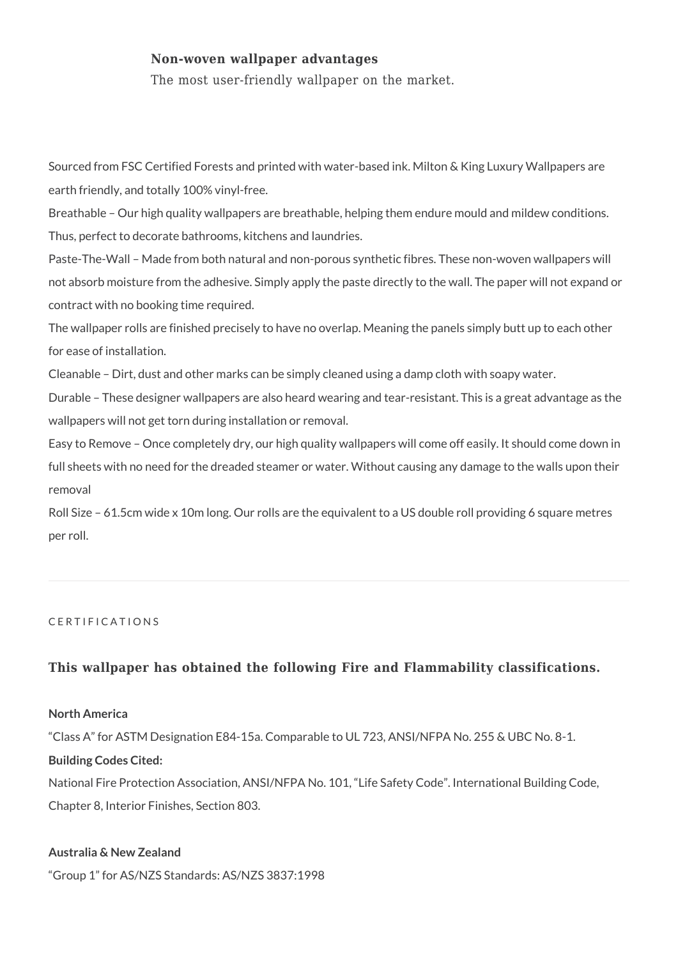# **Non-woven wallpaper advantages**

The most user-friendly wallpaper on the market.

Sourced from FSC Certified Forests and printed with water-based ink. Milton & King Luxury Wallpapers are earth friendly, and totally 100% vinyl-free.

Breathable – Our high quality wallpapers are breathable, helping them endure mould and mildew conditions. Thus, perfect to decorate bathrooms, kitchens and laundries.

Paste-The-Wall – Made from both natural and non-porous synthetic fibres. These non-woven wallpapers will not absorb moisture from the adhesive. Simply apply the paste directly to the wall. The paper will not expand or contract with no booking time required.

The wallpaper rolls are finished precisely to have no overlap. Meaning the panels simply butt up to each other for ease of installation.

Cleanable – Dirt, dust and other marks can be simply cleaned using a damp cloth with soapy water.

Durable – These designer wallpapers are also heard wearing and tear-resistant. This is a great advantage as the wallpapers will not get torn during installation or removal.

Easy to Remove – Once completely dry, our high quality wallpapers will come off easily. It should come down in full sheets with no need for the dreaded steamer or water. Without causing any damage to the walls upon their removal

Roll Size – 61.5cm wide x 10m long. Our rolls are the equivalent to a US double roll providing 6 square metres per roll.

### CERTIFICATIONS

# **This wallpaper has obtained the following Fire and Flammability classifications.**

#### **North America**

"Class A" for ASTM Designation E84-15a. Comparable to UL 723, ANSI/NFPA No. 255 & UBC No. 8-1.

#### **Building Codes Cited:**

National Fire Protection Association, ANSI/NFPA No. 101, "Life Safety Code". International Building Code, Chapter 8, Interior Finishes, Section 803.

# **Australia & New Zealand**

"Group 1" for AS/NZS Standards: AS/NZS 3837:1998